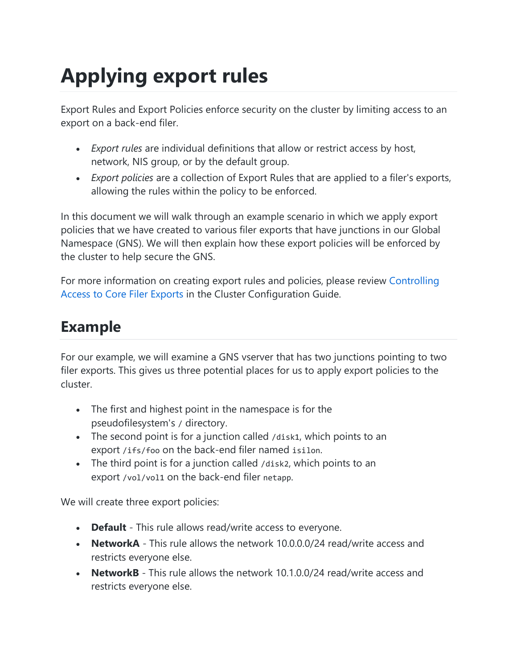# **Applying export rules**

Export Rules and Export Policies enforce security on the cluster by limiting access to an export on a back-end filer.

- *Export rules* are individual definitions that allow or restrict access by host, network, NIS group, or by the default group.
- *Export policies* are a collection of Export Rules that are applied to a filer's exports, allowing the rules within the policy to be enforced.

In this document we will walk through an example scenario in which we apply export policies that we have created to various filer exports that have junctions in our Global Namespace (GNS). We will then explain how these export policies will be enforced by the cluster to help secure the GNS.

For more information on creating export rules and policies, please review [Controlling](https://azure.github.io/Avere/legacy/ops_guide/4_7/html/export_rules_overview.html)  [Access to Core Filer Exports](https://azure.github.io/Avere/legacy/ops_guide/4_7/html/export_rules_overview.html) in the Cluster Configuration Guide.

#### **Example**

For our example, we will examine a GNS vserver that has two junctions pointing to two filer exports. This gives us three potential places for us to apply export policies to the cluster.

- The first and highest point in the namespace is for the pseudofilesystem's / directory.
- The second point is for a junction called /disk1, which points to an export /ifs/foo on the back-end filer named isilon.
- The third point is for a junction called /disk2, which points to an export /vol/vol1 on the back-end filer netapp.

We will create three export policies:

- **Default** This rule allows read/write access to everyone.
- **NetworkA** This rule allows the network 10.0.0.0/24 read/write access and restricts everyone else.
- **NetworkB** This rule allows the network 10.1.0.0/24 read/write access and restricts everyone else.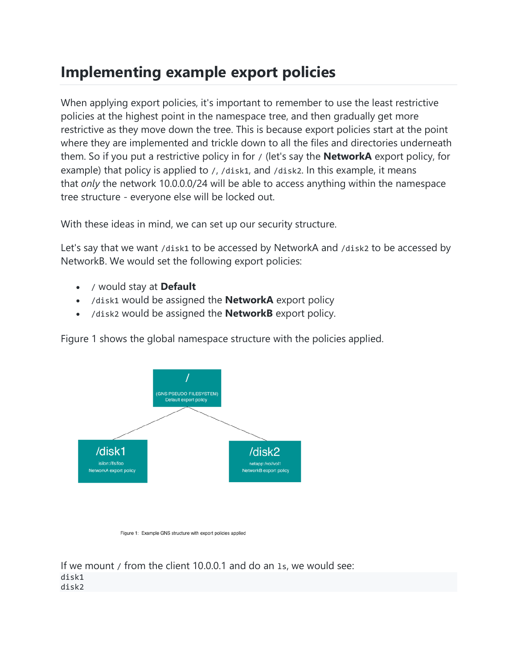### **Implementing example export policies**

When applying export policies, it's important to remember to use the least restrictive policies at the highest point in the namespace tree, and then gradually get more restrictive as they move down the tree. This is because export policies start at the point where they are implemented and trickle down to all the files and directories underneath them. So if you put a restrictive policy in for / (let's say the **NetworkA** export policy, for example) that policy is applied to /, /disk1, and /disk2. In this example, it means that *only* the network 10.0.0.0/24 will be able to access anything within the namespace tree structure - everyone else will be locked out.

With these ideas in mind, we can set up our security structure.

Let's say that we want /disk1 to be accessed by NetworkA and /disk2 to be accessed by NetworkB. We would set the following export policies:

- / would stay at **Default**
- /disk1 would be assigned the **NetworkA** export policy
- /disk2 would be assigned the **NetworkB** export policy.

Figure 1 shows the global namespace structure with the policies applied.



Figure 1: Example GNS structure with export policies applied

If we mount / from the client 10.0.0.1 and do an ls, we would see: disk1 disk2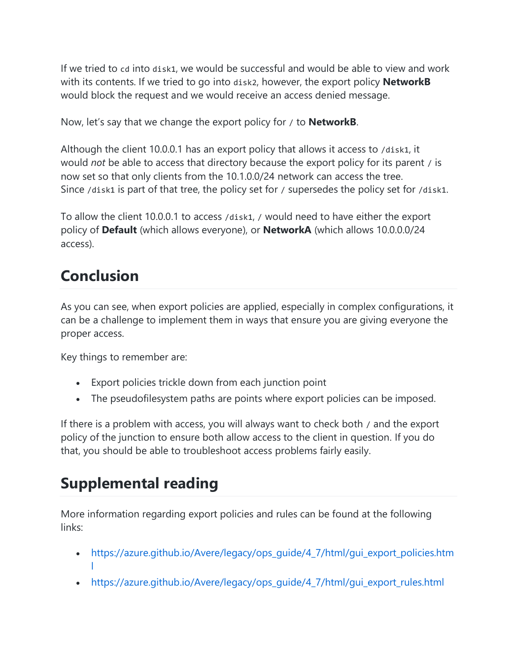If we tried to cd into disk1, we would be successful and would be able to view and work with its contents. If we tried to go into disk2, however, the export policy **NetworkB** would block the request and we would receive an access denied message.

Now, let's say that we change the export policy for / to **NetworkB**.

Although the client 10.0.0.1 has an export policy that allows it access to /disk1, it would *not* be able to access that directory because the export policy for its parent / is now set so that only clients from the 10.1.0.0/24 network can access the tree. Since /disk1 is part of that tree, the policy set for / supersedes the policy set for /disk1.

To allow the client 10.0.0.1 to access /disk1, / would need to have either the export policy of **Default** (which allows everyone), or **NetworkA** (which allows 10.0.0.0/24 access).

## **Conclusion**

As you can see, when export policies are applied, especially in complex configurations, it can be a challenge to implement them in ways that ensure you are giving everyone the proper access.

Key things to remember are:

- Export policies trickle down from each junction point
- The pseudofilesystem paths are points where export policies can be imposed.

If there is a problem with access, you will always want to check both / and the export policy of the junction to ensure both allow access to the client in question. If you do that, you should be able to troubleshoot access problems fairly easily.

## **Supplemental reading**

More information regarding export policies and rules can be found at the following links:

- [https://azure.github.io/Avere/legacy/ops\\_guide/4\\_7/html/gui\\_export\\_policies.htm](https://azure.github.io/Avere/legacy/ops_guide/4_7/html/gui_export_policies.html) [l](https://azure.github.io/Avere/legacy/ops_guide/4_7/html/gui_export_policies.html)
- [https://azure.github.io/Avere/legacy/ops\\_guide/4\\_7/html/gui\\_export\\_rules.html](https://azure.github.io/Avere/legacy/ops_guide/4_7/html/gui_export_rules.html)